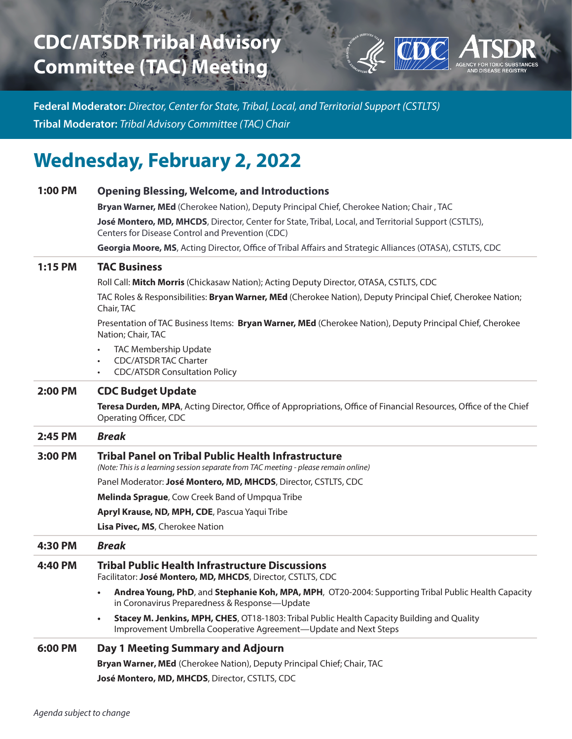## **CDC/ATSDR Tribal Advisory Committee (TAC) Meeting**



**Federal Moderator:** *Director, Center for State, Tribal, Local, and Territorial Support (CSTLTS)* **Tribal Moderator:** *Tribal Advisory Committee (TAC) Chair*

## **Wednesday, February 2, 2022**

| 1:00 PM        | <b>Opening Blessing, Welcome, and Introductions</b>                                                                                                                          |
|----------------|------------------------------------------------------------------------------------------------------------------------------------------------------------------------------|
|                | Bryan Warner, MEd (Cherokee Nation), Deputy Principal Chief, Cherokee Nation; Chair, TAC                                                                                     |
|                | José Montero, MD, MHCDS, Director, Center for State, Tribal, Local, and Territorial Support (CSTLTS),<br>Centers for Disease Control and Prevention (CDC)                    |
|                | Georgia Moore, MS, Acting Director, Office of Tribal Affairs and Strategic Alliances (OTASA), CSTLTS, CDC                                                                    |
| $1:15$ PM      | <b>TAC Business</b>                                                                                                                                                          |
|                | Roll Call: Mitch Morris (Chickasaw Nation); Acting Deputy Director, OTASA, CSTLTS, CDC                                                                                       |
|                | TAC Roles & Responsibilities: Bryan Warner, MEd (Cherokee Nation), Deputy Principal Chief, Cherokee Nation;<br>Chair, TAC                                                    |
|                | Presentation of TAC Business Items: Bryan Warner, MEd (Cherokee Nation), Deputy Principal Chief, Cherokee<br>Nation; Chair, TAC                                              |
|                | <b>TAC Membership Update</b><br><b>CDC/ATSDR TAC Charter</b><br><b>CDC/ATSDR Consultation Policy</b>                                                                         |
| <b>2:00 PM</b> | <b>CDC Budget Update</b>                                                                                                                                                     |
|                | Teresa Durden, MPA, Acting Director, Office of Appropriations, Office of Financial Resources, Office of the Chief<br>Operating Officer, CDC                                  |
| 2:45 PM        | <b>Break</b>                                                                                                                                                                 |
| 3:00 PM        | <b>Tribal Panel on Tribal Public Health Infrastructure</b><br>(Note: This is a learning session separate from TAC meeting - please remain online)                            |
|                | Panel Moderator: José Montero, MD, MHCDS, Director, CSTLTS, CDC                                                                                                              |
|                | Melinda Sprague, Cow Creek Band of Umpqua Tribe                                                                                                                              |
|                | Apryl Krause, ND, MPH, CDE, Pascua Yaqui Tribe                                                                                                                               |
|                | Lisa Pivec, MS, Cherokee Nation                                                                                                                                              |
| 4:30 PM        | <b>Break</b>                                                                                                                                                                 |
| 4:40 PM        | <b>Tribal Public Health Infrastructure Discussions</b><br>Facilitator: José Montero, MD, MHCDS, Director, CSTLTS, CDC                                                        |
|                | Andrea Young, PhD, and Stephanie Koh, MPA, MPH, OT20-2004: Supporting Tribal Public Health Capacity<br>in Coronavirus Preparedness & Response-Update                         |
|                | Stacey M. Jenkins, MPH, CHES, OT18-1803: Tribal Public Health Capacity Building and Quality<br>$\bullet$<br>Improvement Umbrella Cooperative Agreement-Update and Next Steps |
| 6:00 PM        | Day 1 Meeting Summary and Adjourn                                                                                                                                            |
|                | Bryan Warner, MEd (Cherokee Nation), Deputy Principal Chief; Chair, TAC                                                                                                      |
|                |                                                                                                                                                                              |